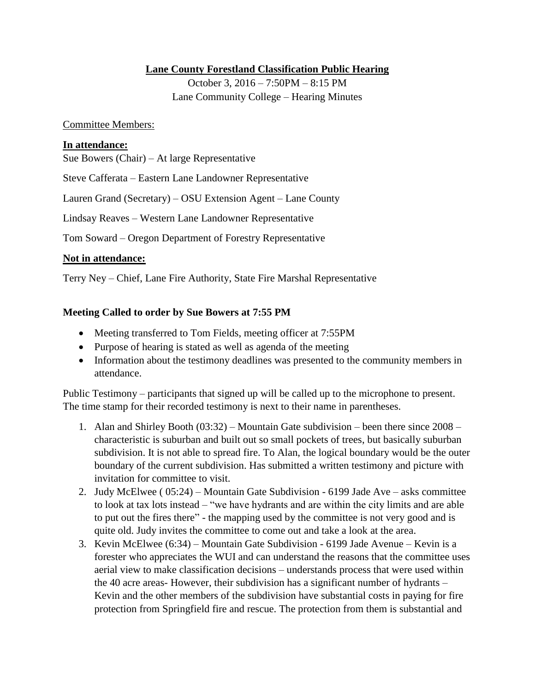## **Lane County Forestland Classification Public Hearing**

October 3, 2016 – 7:50PM – 8:15 PM Lane Community College – Hearing Minutes

#### Committee Members:

### **In attendance:**

Sue Bowers (Chair) – At large Representative

Steve Cafferata – Eastern Lane Landowner Representative

Lauren Grand (Secretary) – OSU Extension Agent – Lane County

Lindsay Reaves – Western Lane Landowner Representative

Tom Soward – Oregon Department of Forestry Representative

### **Not in attendance:**

Terry Ney – Chief, Lane Fire Authority, State Fire Marshal Representative

### **Meeting Called to order by Sue Bowers at 7:55 PM**

- Meeting transferred to Tom Fields, meeting officer at 7:55PM
- Purpose of hearing is stated as well as agenda of the meeting
- Information about the testimony deadlines was presented to the community members in attendance.

Public Testimony – participants that signed up will be called up to the microphone to present. The time stamp for their recorded testimony is next to their name in parentheses.

- 1. Alan and Shirley Booth (03:32) Mountain Gate subdivision been there since 2008 characteristic is suburban and built out so small pockets of trees, but basically suburban subdivision. It is not able to spread fire. To Alan, the logical boundary would be the outer boundary of the current subdivision. Has submitted a written testimony and picture with invitation for committee to visit.
- 2. Judy McElwee ( 05:24) Mountain Gate Subdivision 6199 Jade Ave asks committee to look at tax lots instead – "we have hydrants and are within the city limits and are able to put out the fires there" - the mapping used by the committee is not very good and is quite old. Judy invites the committee to come out and take a look at the area.
- 3. Kevin McElwee (6:34) Mountain Gate Subdivision 6199 Jade Avenue Kevin is a forester who appreciates the WUI and can understand the reasons that the committee uses aerial view to make classification decisions – understands process that were used within the 40 acre areas- However, their subdivision has a significant number of hydrants – Kevin and the other members of the subdivision have substantial costs in paying for fire protection from Springfield fire and rescue. The protection from them is substantial and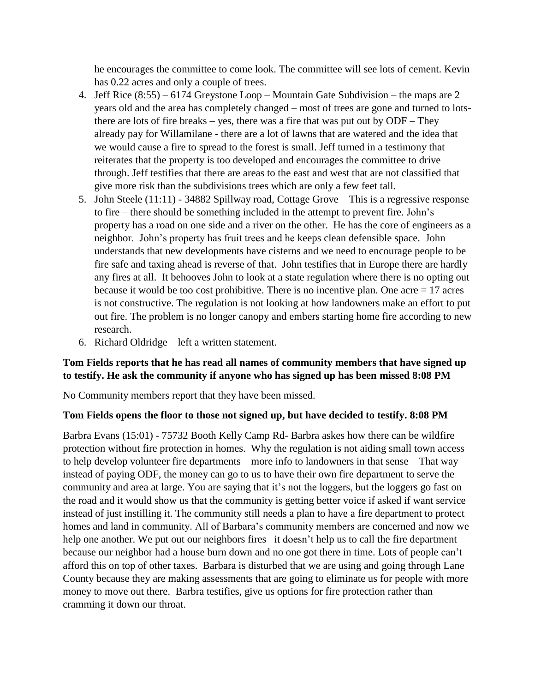he encourages the committee to come look. The committee will see lots of cement. Kevin has 0.22 acres and only a couple of trees.

- 4. Jeff Rice (8:55) 6174 Greystone Loop Mountain Gate Subdivision the maps are 2 years old and the area has completely changed – most of trees are gone and turned to lotsthere are lots of fire breaks – yes, there was a fire that was put out by ODF – They already pay for Willamilane - there are a lot of lawns that are watered and the idea that we would cause a fire to spread to the forest is small. Jeff turned in a testimony that reiterates that the property is too developed and encourages the committee to drive through. Jeff testifies that there are areas to the east and west that are not classified that give more risk than the subdivisions trees which are only a few feet tall.
- 5. John Steele (11:11) 34882 Spillway road, Cottage Grove This is a regressive response to fire – there should be something included in the attempt to prevent fire. John's property has a road on one side and a river on the other. He has the core of engineers as a neighbor. John's property has fruit trees and he keeps clean defensible space. John understands that new developments have cisterns and we need to encourage people to be fire safe and taxing ahead is reverse of that. John testifies that in Europe there are hardly any fires at all. It behooves John to look at a state regulation where there is no opting out because it would be too cost prohibitive. There is no incentive plan. One acre  $= 17$  acres is not constructive. The regulation is not looking at how landowners make an effort to put out fire. The problem is no longer canopy and embers starting home fire according to new research.
- 6. Richard Oldridge left a written statement.

## **Tom Fields reports that he has read all names of community members that have signed up to testify. He ask the community if anyone who has signed up has been missed 8:08 PM**

No Community members report that they have been missed.

## **Tom Fields opens the floor to those not signed up, but have decided to testify. 8:08 PM**

Barbra Evans (15:01) - 75732 Booth Kelly Camp Rd- Barbra askes how there can be wildfire protection without fire protection in homes. Why the regulation is not aiding small town access to help develop volunteer fire departments – more info to landowners in that sense – That way instead of paying ODF, the money can go to us to have their own fire department to serve the community and area at large. You are saying that it's not the loggers, but the loggers go fast on the road and it would show us that the community is getting better voice if asked if want service instead of just instilling it. The community still needs a plan to have a fire department to protect homes and land in community. All of Barbara's community members are concerned and now we help one another. We put out our neighbors fires– it doesn't help us to call the fire department because our neighbor had a house burn down and no one got there in time. Lots of people can't afford this on top of other taxes. Barbara is disturbed that we are using and going through Lane County because they are making assessments that are going to eliminate us for people with more money to move out there. Barbra testifies, give us options for fire protection rather than cramming it down our throat.